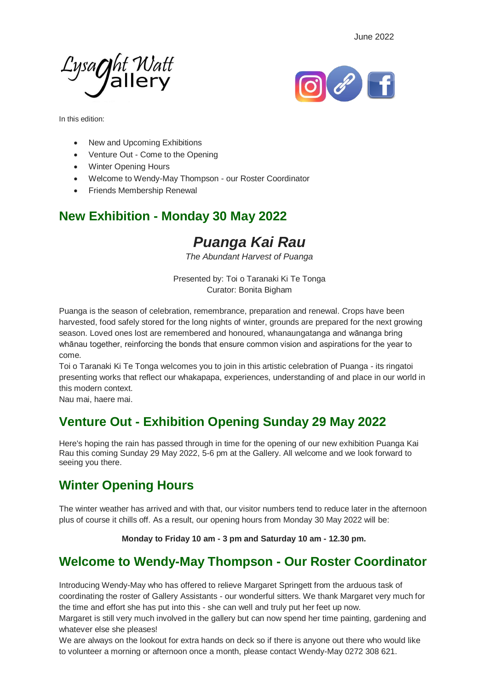



In this edition:

- New and Upcoming Exhibitions
- Venture Out Come to the Opening
- Winter Opening Hours
- Welcome to Wendy-May Thompson our Roster Coordinator
- Friends Membership Renewal

## **New Exhibition - Monday 30 May 2022**

# *Puanga Kai Rau*

*The Abundant Harvest of Puanga*

Presented by: Toi o Taranaki Ki Te Tonga Curator: Bonita Bigham

Puanga is the season of celebration, remembrance, preparation and renewal. Crops have been harvested, food safely stored for the long nights of winter, grounds are prepared for the next growing season. Loved ones lost are remembered and honoured, whanaungatanga and wānanga bring whānau together, reinforcing the bonds that ensure common vision and aspirations for the year to come.

Toi o Taranaki Ki Te Tonga welcomes you to join in this artistic celebration of Puanga - its ringatoi presenting works that reflect our whakapapa, experiences, understanding of and place in our world in this modern context.

Nau mai, haere mai.

### **Venture Out - Exhibition Opening Sunday 29 May 2022**

Here's hoping the rain has passed through in time for the opening of our new exhibition Puanga Kai Rau this coming Sunday 29 May 2022, 5-6 pm at the Gallery. All welcome and we look forward to seeing you there.

## **Winter Opening Hours**

The winter weather has arrived and with that, our visitor numbers tend to reduce later in the afternoon plus of course it chills off. As a result, our opening hours from Monday 30 May 2022 will be:

**Monday to Friday 10 am - 3 pm and Saturday 10 am - 12.30 pm.**

#### **Welcome to Wendy-May Thompson - Our Roster Coordinator**

Introducing Wendy-May who has offered to relieve Margaret Springett from the arduous task of coordinating the roster of Gallery Assistants - our wonderful sitters. We thank Margaret very much for the time and effort she has put into this - she can well and truly put her feet up now.

Margaret is still very much involved in the gallery but can now spend her time painting, gardening and whatever else she pleases!

We are always on the lookout for extra hands on deck so if there is anyone out there who would like to volunteer a morning or afternoon once a month, please contact Wendy-May 0272 308 621.